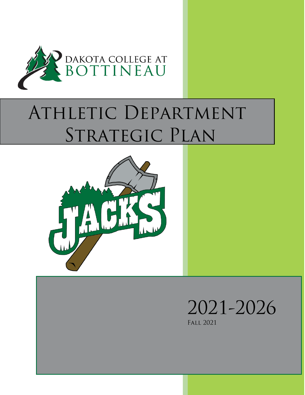

# ATHLETIC DEPARTMENT STRATEGIC PLAN



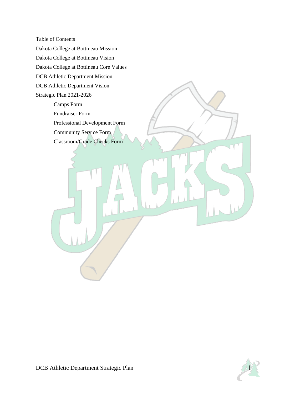Table of Contents Dakota College at Bottineau Mission Dakota College at Bottineau Vision Dakota College at Bottineau Core Values DCB Athletic Department Mission DCB Athletic Department Vision Strategic Plan 2021-2026 Camps Form Fundraiser Form Professional Development Form Community Service Form Classroom/Grade Checks Form

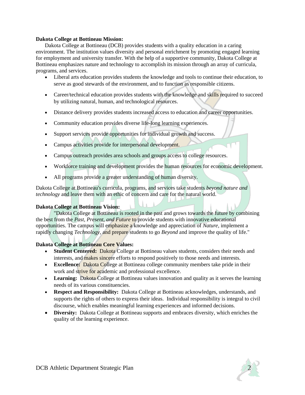#### **Dakota College at Bottineau Mission:**

Dakota College at Bottineau (DCB) provides students with a quality education in a caring environment. The institution values diversity and personal enrichment by promoting engaged learning for employment and university transfer. With the help of a supportive community, Dakota College at Bottineau emphasizes nature and technology to accomplish its mission through an array of curricula, programs, and services.

- Liberal arts education provides students the knowledge and tools to continue their education, to serve as good stewards of the environment, and to function as responsible citizens.
- Career/technical education provides students with the knowledge and skills required to succeed by utilizing natural, human, and technological resources.
- Distance delivery provides students increased access to education and career opportunities.
- Community education provides diverse life-long learning experiences.
- Support services provide opportunities for individual growth and success.
- Campus activities provide for interpersonal development.
- Campus outreach provides area schools and groups access to college resources.
- Workforce training and development provides the human resources for economic development.
- All programs provide a greater understanding of human diversity.

Dakota College at Bottineau's curricula, programs, and services take students *beyond nature and technology* and leave them with an ethic of concern and care for the natural world.

#### **Dakota College at Bottineau Vision:**

"Dakota College at Bottineau is rooted in the past and grows towards the future by combining the best from the *Past, Present, and Future* to provide students with innovative educational opportunities. The campus will emphasize a knowledge and appreciation of *Nature,* implement a rapidly changing *Technology,* and prepare students to go *Beyond* and improve the quality of life."

### **Dakota College at Bottineau Core Values:**

- **Student Centered:** Dakota College at Bottineau values students, considers their needs and interests, and makes sincere efforts to respond positively to those needs and interests.
- **Excellence:** Dakota College at Bottineau college community members take pride in their work and strive for academic and professional excellence.
- Learning: Dakota College at Bottineau values innovation and quality as it serves the learning needs of its various constituencies.
- **Respect and Responsibility:** Dakota College at Bottineau acknowledges, understands, and supports the rights of others to express their ideas. Individual responsibility is integral to civil discourse, which enables meaningful learning experiences and informed decisions.
- **Diversity:** Dakota College at Bottineau supports and embraces diversity, which enriches the quality of the learning experience.

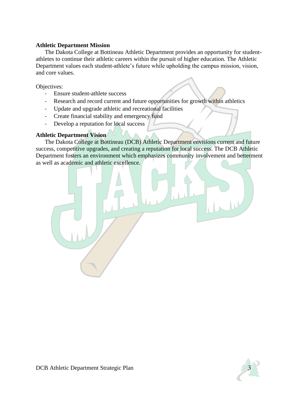## **Athletic Department Mission**

The Dakota College at Bottineau Athletic Department provides an opportunity for studentathletes to continue their athletic careers within the pursuit of higher education. The Athletic Department values each student-athlete's future while upholding the campus mission, vision, and core values.

Objectives:

- Ensure student-athlete success
- Research and record current and future opportunities for growth within athletics
- Update and upgrade athletic and recreational facilities
- Create financial stability and emergency fund
- Develop a reputation for local success

## **Athletic Department Vision**

The Dakota College at Bottineau (DCB) Athletic Department envisions current and future success, competitive upgrades, and creating a reputation for local success. The DCB Athletic Department fosters an environment which emphasizes community involvement and betterment as well as academic and athletic excellence.



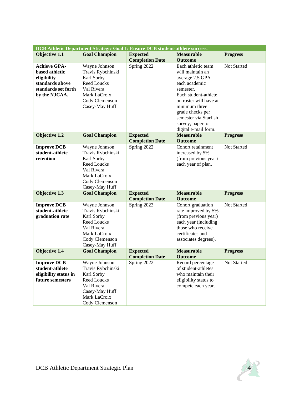| DCB Athletic Department Strategic Goal 1: Ensure DCB student-athlete success. |                                  |                        |                        |                 |
|-------------------------------------------------------------------------------|----------------------------------|------------------------|------------------------|-----------------|
| Objective 1.1                                                                 | <b>Goal Champion</b>             | <b>Expected</b>        | <b>Measurable</b>      | <b>Progress</b> |
|                                                                               |                                  | <b>Completion Date</b> | <b>Outcome</b>         |                 |
| <b>Achieve GPA-</b>                                                           | Wayne Johnson                    | Spring 2022            | Each athletic team     | Not Started     |
| based athletic                                                                | Travis Rybchinski                |                        | will maintain an       |                 |
| eligibility                                                                   | Karl Sorby                       |                        | average 2.5 GPA        |                 |
| standards above                                                               | <b>Reed Loucks</b>               |                        | each academic          |                 |
| standards set forth                                                           | Val Rivera                       |                        | semester.              |                 |
| by the NJCAA.                                                                 | Mark LaCroix                     |                        | Each student-athlete   |                 |
|                                                                               | Cody Clemenson                   |                        | on roster will have at |                 |
|                                                                               | Casey-May Huff                   |                        | minimum three          |                 |
|                                                                               |                                  |                        | grade checks per       |                 |
|                                                                               |                                  |                        | semester via Starfish  |                 |
|                                                                               |                                  |                        | survey, paper, or      |                 |
|                                                                               |                                  |                        | digital e-mail form.   |                 |
| Objective 1.2                                                                 | <b>Goal Champion</b>             | <b>Expected</b>        | <b>Measurable</b>      | <b>Progress</b> |
|                                                                               |                                  | <b>Completion Date</b> | <b>Outcome</b>         |                 |
| <b>Improve DCB</b>                                                            | Wayne Johnson                    | Spring 2022            | Cohort retainment      | Not Started     |
| student-athlete<br>retention                                                  | Travis Rybchinski                |                        | increased by 5%        |                 |
|                                                                               | Karl Sorby                       |                        | (from previous year)   |                 |
|                                                                               | <b>Reed Loucks</b><br>Val Rivera |                        | each year of plan.     |                 |
|                                                                               | Mark LaCroix                     |                        |                        |                 |
|                                                                               | Cody Clemenson                   |                        |                        |                 |
|                                                                               | Casey-May Huff                   |                        |                        |                 |
| Objective 1.3                                                                 | <b>Goal Champion</b>             | <b>Expected</b>        | <b>Measurable</b>      | <b>Progress</b> |
|                                                                               |                                  | <b>Completion Date</b> | <b>Outcome</b>         |                 |
| <b>Improve DCB</b>                                                            | Wayne Johnson                    | Spring 2023            | Cohort graduation      | Not Started     |
| student-athlete                                                               | Travis Rybchinski                |                        | rate improved by 5%    |                 |
| graduation rate                                                               | Karl Sorby                       |                        | (from previous year)   |                 |
|                                                                               | <b>Reed Loucks</b>               |                        | each year (including   |                 |
|                                                                               | Val Rivera                       |                        | those who receive      |                 |
|                                                                               | Mark LaCroix                     |                        | certificates and       |                 |
|                                                                               | Cody Clemenson                   |                        | associates degrees).   |                 |
|                                                                               | Casey-May Huff                   |                        |                        |                 |
| <b>Objective 1.4</b>                                                          | <b>Goal Champion</b>             | <b>Expected</b>        | <b>Measurable</b>      | <b>Progress</b> |
|                                                                               |                                  | <b>Completion Date</b> | <b>Outcome</b>         |                 |
| <b>Improve DCB</b>                                                            | Wayne Johnson                    | Spring 2022            | Record percentage      | Not Started     |
| student-athlete                                                               | Travis Rybchinski                |                        | of student-athletes    |                 |
| eligibility status in                                                         | Karl Sorby                       |                        | who maintain their     |                 |
| future semesters                                                              | <b>Reed Loucks</b>               |                        | eligibility status to  |                 |
|                                                                               | Val Rivera                       |                        | compete each year.     |                 |
|                                                                               | Casey-May Huff<br>Mark LaCroix   |                        |                        |                 |
|                                                                               | Cody Clemenson                   |                        |                        |                 |
|                                                                               |                                  |                        |                        |                 |

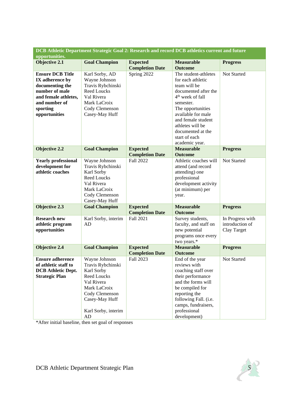| DCB Athletic Department Strategic Goal 2: Research and record DCB athletics current and future |                      |                        |                              |                  |  |
|------------------------------------------------------------------------------------------------|----------------------|------------------------|------------------------------|------------------|--|
| opportunities.                                                                                 |                      |                        |                              |                  |  |
| <b>Objective 2.1</b>                                                                           | <b>Goal Champion</b> | <b>Expected</b>        | <b>Measurable</b>            | <b>Progress</b>  |  |
|                                                                                                |                      | <b>Completion Date</b> | <b>Outcome</b>               |                  |  |
| <b>Ensure DCB Title</b>                                                                        | Karl Sorby, AD       | Spring 2022            | The student-athletes         | Not Started      |  |
| IX adherence by                                                                                | Wayne Johnson        |                        | for each athletic            |                  |  |
| documenting the                                                                                | Travis Rybchinski    |                        | team will be                 |                  |  |
| number of male                                                                                 | <b>Reed Loucks</b>   |                        | documented after the         |                  |  |
| and female athletes,                                                                           | Val Rivera           |                        | 4 <sup>th</sup> week of fall |                  |  |
| and number of                                                                                  | Mark LaCroix         |                        | semester.                    |                  |  |
| sporting                                                                                       | Cody Clemenson       |                        | The opportunities            |                  |  |
| opportunities                                                                                  | Casey-May Huff       |                        | available for male           |                  |  |
|                                                                                                |                      |                        | and female student           |                  |  |
|                                                                                                |                      |                        | athletes will be             |                  |  |
|                                                                                                |                      |                        | documented at the            |                  |  |
|                                                                                                |                      |                        | start of each                |                  |  |
|                                                                                                |                      |                        | academic year.               |                  |  |
| <b>Objective 2.2</b>                                                                           | <b>Goal Champion</b> | <b>Expected</b>        | <b>Measurable</b>            | <b>Progress</b>  |  |
|                                                                                                |                      | <b>Completion Date</b> | <b>Outcome</b>               |                  |  |
| <b>Yearly professional</b>                                                                     | Wayne Johnson        | Fall 2022              | Athletic coaches will        | Not Started      |  |
| development for                                                                                | Travis Rybchinski    |                        | attend (and record           |                  |  |
| athletic coaches                                                                               | Karl Sorby           |                        | attending) one               |                  |  |
|                                                                                                | <b>Reed Loucks</b>   |                        | professional                 |                  |  |
|                                                                                                | Val Rivera           |                        | development activity         |                  |  |
|                                                                                                | Mark LaCroix         |                        | (at minimum) per             |                  |  |
|                                                                                                | Cody Clemenson       |                        |                              |                  |  |
|                                                                                                | Casey-May Huff       |                        | year.                        |                  |  |
| <b>Objective 2.3</b>                                                                           | <b>Goal Champion</b> | <b>Expected</b>        | <b>Measurable</b>            | <b>Progress</b>  |  |
|                                                                                                |                      | <b>Completion Date</b> | <b>Outcome</b>               |                  |  |
| <b>Research new</b>                                                                            | Karl Sorby, interim  | Fall 2021              | Survey students,             | In Progress with |  |
| athletic program                                                                               | AD                   |                        | faculty, and staff on        | introduction of  |  |
| opportunities                                                                                  |                      |                        | new potential                | Clay Target      |  |
|                                                                                                |                      |                        | programs once every          |                  |  |
|                                                                                                |                      |                        | two years.*                  |                  |  |
| <b>Objective 2.4</b>                                                                           | <b>Goal Champion</b> | <b>Expected</b>        | <b>Measurable</b>            | <b>Progress</b>  |  |
|                                                                                                |                      | <b>Completion Date</b> | <b>Outcome</b>               |                  |  |
| <b>Ensure adherence</b>                                                                        | Wayne Johnson        | Fall 2023              | End of the year              | Not Started      |  |
| of athletic staff to                                                                           | Travis Rybchinski    |                        | reviews with                 |                  |  |
| <b>DCB</b> Athletic Dept.                                                                      | Karl Sorby           |                        | coaching staff over          |                  |  |
| <b>Strategic Plan</b>                                                                          | Reed Loucks          |                        | their performance            |                  |  |
|                                                                                                | Val Rivera           |                        | and the forms will           |                  |  |
|                                                                                                | Mark LaCroix         |                        | be compiled for              |                  |  |
|                                                                                                |                      |                        |                              |                  |  |
|                                                                                                | Cody Clemenson       |                        | reporting the                |                  |  |
|                                                                                                | Casey-May Huff       |                        | following Fall. (i.e.        |                  |  |
|                                                                                                |                      |                        | camps, fundraisers,          |                  |  |
|                                                                                                | Karl Sorby, interim  |                        | professional                 |                  |  |
|                                                                                                | AD                   |                        | development)                 |                  |  |

\*After initial baseline, then set goal of responses

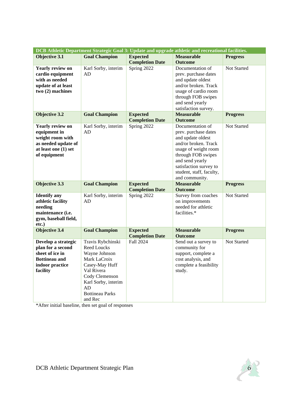| DCB Athletic Department Strategic Goal 3: Update and upgrade athletic and recreational facilities. |                        |                        |                                           |                    |  |
|----------------------------------------------------------------------------------------------------|------------------------|------------------------|-------------------------------------------|--------------------|--|
| <b>Objective 3.1</b>                                                                               | <b>Goal Champion</b>   | <b>Expected</b>        | <b>Measurable</b>                         | <b>Progress</b>    |  |
|                                                                                                    |                        | <b>Completion Date</b> | <b>Outcome</b>                            |                    |  |
| <b>Yearly review on</b>                                                                            | Karl Sorby, interim    | Spring 2022            | Documentation of                          | <b>Not Started</b> |  |
| cardio equipment                                                                                   | AD                     |                        | prev. purchase dates                      |                    |  |
| with as needed                                                                                     |                        |                        | and update oldest                         |                    |  |
| update of at least                                                                                 |                        |                        | and/or broken. Track                      |                    |  |
| two (2) machines                                                                                   |                        |                        | usage of cardio room                      |                    |  |
|                                                                                                    |                        |                        | through FOB swipes                        |                    |  |
|                                                                                                    |                        |                        | and send yearly                           |                    |  |
|                                                                                                    |                        |                        | satisfaction survey.                      |                    |  |
| <b>Objective 3.2</b>                                                                               | <b>Goal Champion</b>   | <b>Expected</b>        | <b>Measurable</b>                         | <b>Progress</b>    |  |
|                                                                                                    |                        | <b>Completion Date</b> | <b>Outcome</b>                            |                    |  |
| <b>Yearly review on</b>                                                                            | Karl Sorby, interim    | Spring 2022            | Documentation of                          | Not Started        |  |
| equipment in                                                                                       | AD                     |                        | prev. purchase dates                      |                    |  |
| weight room with                                                                                   |                        |                        | and update oldest                         |                    |  |
| as needed update of                                                                                |                        |                        | and/or broken. Track                      |                    |  |
| at least one (1) set                                                                               |                        |                        | usage of weight room                      |                    |  |
| of equipment                                                                                       |                        |                        | through FOB swipes                        |                    |  |
|                                                                                                    |                        |                        | and send yearly<br>satisfaction survey to |                    |  |
|                                                                                                    |                        |                        | student, staff, faculty,                  |                    |  |
|                                                                                                    |                        |                        | and community.                            |                    |  |
| Objective 3.3                                                                                      | <b>Goal Champion</b>   | <b>Expected</b>        | <b>Measurable</b>                         | <b>Progress</b>    |  |
|                                                                                                    |                        | <b>Completion Date</b> | <b>Outcome</b>                            |                    |  |
| <b>Identify</b> any                                                                                | Karl Sorby, interim    | Spring 2022            | Survey from coaches                       | Not Started        |  |
| athletic facility                                                                                  | AD                     |                        | on improvements                           |                    |  |
| needing                                                                                            |                        |                        | needed for athletic                       |                    |  |
| maintenance (i.e.                                                                                  |                        |                        | facilities.*                              |                    |  |
| gym, baseball field,                                                                               |                        |                        |                                           |                    |  |
| etc.)                                                                                              |                        |                        |                                           |                    |  |
| <b>Objective 3.4</b>                                                                               | <b>Goal Champion</b>   | <b>Expected</b>        | <b>Measurable</b>                         | <b>Progress</b>    |  |
|                                                                                                    |                        | <b>Completion Date</b> | <b>Outcome</b>                            |                    |  |
| Develop a strategic                                                                                | Travis Rybchinski      | <b>Fall 2024</b>       | Send out a survey to                      | <b>Not Started</b> |  |
| plan for a second                                                                                  | <b>Reed Loucks</b>     |                        | community for                             |                    |  |
| sheet of ice in                                                                                    | Wayne Johnson          |                        | support, complete a                       |                    |  |
| <b>Bottineau and</b>                                                                               | Mark LaCroix           |                        | cost analysis, and                        |                    |  |
| indoor practice                                                                                    | Casey-May Huff         |                        | complete a feasibility                    |                    |  |
| facility                                                                                           | Val Rivera             |                        | study.                                    |                    |  |
|                                                                                                    | Cody Clemenson         |                        |                                           |                    |  |
|                                                                                                    | Karl Sorby, interim    |                        |                                           |                    |  |
|                                                                                                    | AD                     |                        |                                           |                    |  |
|                                                                                                    | <b>Bottineau Parks</b> |                        |                                           |                    |  |
|                                                                                                    | and Rec                |                        |                                           |                    |  |

\*After initial baseline, then set goal of responses

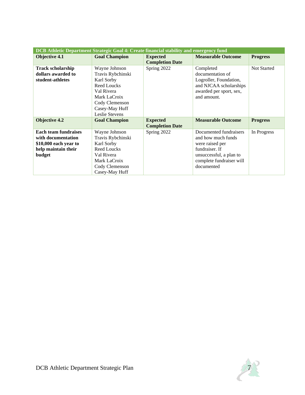| DCB Athletic Department Strategic Goal 4: Create financial stability and emergency fund                     |                                                                                                                                                            |                                           |                                                                                                                                                        |                    |  |
|-------------------------------------------------------------------------------------------------------------|------------------------------------------------------------------------------------------------------------------------------------------------------------|-------------------------------------------|--------------------------------------------------------------------------------------------------------------------------------------------------------|--------------------|--|
| <b>Objective 4.1</b>                                                                                        | <b>Goal Champion</b>                                                                                                                                       | <b>Expected</b><br><b>Completion Date</b> | <b>Measurable Outcome</b>                                                                                                                              | <b>Progress</b>    |  |
| <b>Track scholarship</b><br>dollars awarded to<br>student-athletes                                          | Wayne Johnson<br>Travis Rybchinski<br>Karl Sorby<br><b>Reed Loucks</b><br>Val Rivera<br>Mark LaCroix<br>Cody Clemenson<br>Casey-May Huff<br>Leslie Stevens | Spring 2022                               | Completed<br>documentation of<br>Logroller, Foundation,<br>and NJCAA scholarships<br>awarded per sport, sex,<br>and amount.                            | <b>Not Started</b> |  |
| <b>Objective 4.2</b>                                                                                        | <b>Goal Champion</b>                                                                                                                                       | <b>Expected</b><br><b>Completion Date</b> | <b>Measurable Outcome</b>                                                                                                                              | <b>Progress</b>    |  |
| <b>Each team fundraises</b><br>with documentation<br>\$10,000 each year to<br>help maintain their<br>budget | Wayne Johnson<br>Travis Rybchinski<br>Karl Sorby<br><b>Reed Loucks</b><br>Val Rivera<br>Mark LaCroix<br>Cody Clemenson<br>Casey-May Huff                   | Spring 2022                               | Documented fundraisers<br>and how much funds<br>were raised per<br>fundraiser. If<br>unsuccessful, a plan to<br>complete fundraiser will<br>documented | In Progress        |  |

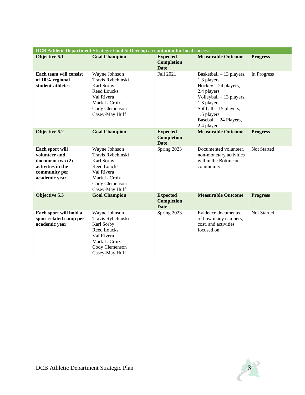| <b>DCB</b> Athletic Department Strategic Goal 5: Develop a reputation for local success                     |                                                                                                                                          |                                                     |                                                                                                                                                                                                              |                 |  |
|-------------------------------------------------------------------------------------------------------------|------------------------------------------------------------------------------------------------------------------------------------------|-----------------------------------------------------|--------------------------------------------------------------------------------------------------------------------------------------------------------------------------------------------------------------|-----------------|--|
| <b>Objective 5.1</b>                                                                                        | <b>Goal Champion</b>                                                                                                                     | <b>Expected</b><br><b>Completion</b><br><b>Date</b> | <b>Measurable Outcome</b>                                                                                                                                                                                    | <b>Progress</b> |  |
| Each team will consist<br>of 10% regional<br>student-athletes                                               | Wayne Johnson<br>Travis Rybchinski<br>Karl Sorby<br><b>Reed Loucks</b><br>Val Rivera<br>Mark LaCroix<br>Cody Clemenson<br>Casey-May Huff | Fall 2021                                           | Basketball $-13$ players,<br>1.3 players<br>$Hockey-24$ players,<br>2.4 players<br>Volleyball - 13 players,<br>1.3 players<br>Softball - 15 players,<br>1.5 players<br>Baseball - 24 Players,<br>2.4 players | In Progress     |  |
| <b>Objective 5.2</b>                                                                                        | <b>Goal Champion</b>                                                                                                                     | <b>Expected</b><br><b>Completion</b><br><b>Date</b> | <b>Measurable Outcome</b>                                                                                                                                                                                    | <b>Progress</b> |  |
| Each sport will<br>volunteer and<br>document two (2)<br>activities in the<br>community per<br>academic year | Wayne Johnson<br>Travis Rybchinski<br>Karl Sorby<br>Reed Loucks<br>Val Rivera<br>Mark LaCroix<br>Cody Clemenson<br>Casey-May Huff        | Spring 2023                                         | Documented volunteer,<br>non-monetary activities<br>within the Bottineau<br>community.                                                                                                                       | Not Started     |  |
| Objective 5.3                                                                                               | <b>Goal Champion</b>                                                                                                                     | <b>Expected</b><br><b>Completion</b><br><b>Date</b> | <b>Measurable Outcome</b>                                                                                                                                                                                    | <b>Progress</b> |  |
| Each sport will hold a<br>sport related camp per<br>academic year                                           | Wayne Johnson<br>Travis Rybchinski<br>Karl Sorby<br><b>Reed Loucks</b><br>Val Rivera<br>Mark LaCroix<br>Cody Clemenson<br>Casey-May Huff | Spring 2023                                         | Evidence documented<br>of how many campers,<br>cost, and activities<br>focused on.                                                                                                                           | Not Started     |  |

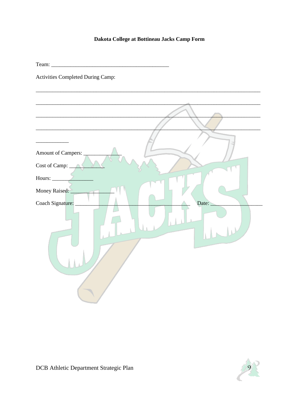## Dakota College at Bottineau Jacks Camp Form

Activities Completed During Camp:

| Amount of Campers:        |
|---------------------------|
| Cost of Camp: _           |
| Hours:                    |
| Money Raised:             |
| Coach Signature:<br>Date: |

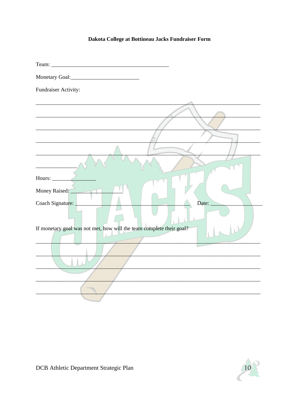# Dakota College at Bottineau Jacks Fundraiser Form

| Fundraiser Activity:                                                 |
|----------------------------------------------------------------------|
|                                                                      |
|                                                                      |
|                                                                      |
|                                                                      |
|                                                                      |
|                                                                      |
| Hours: $\angle$                                                      |
| Money Raised:                                                        |
|                                                                      |
| Coach Signature:<br>Date: $\overline{\phantom{a}}$                   |
|                                                                      |
| If monetary goal was not met, how will the team complete their goal? |
|                                                                      |
|                                                                      |
|                                                                      |
|                                                                      |
|                                                                      |
|                                                                      |

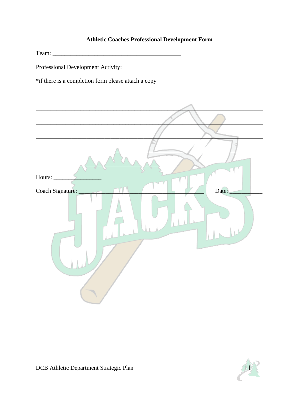# **Athletic Coaches Professional Development Form**

Professional Development Activity:

\*if there is a completion form please attach a copy

| Hours:                    |
|---------------------------|
| Date:<br>Coach Signature: |

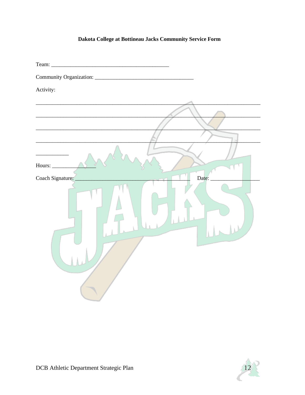# Dakota College at Bottineau Jacks Community Service Form

| Activity:                 |
|---------------------------|
|                           |
|                           |
|                           |
|                           |
|                           |
| Hours:                    |
| Coach Signature:<br>Date: |
|                           |